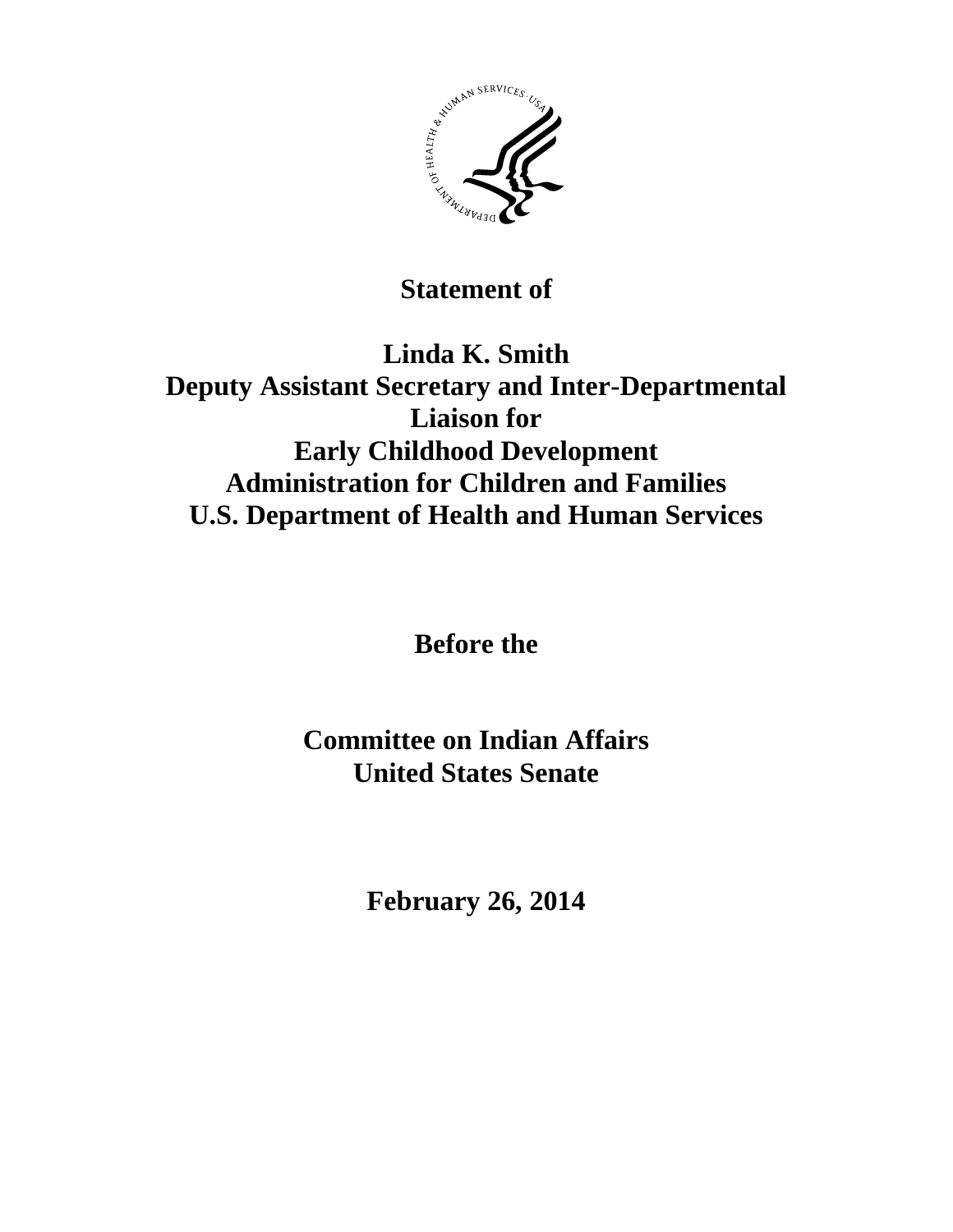

**Statement of**

**Linda K. Smith Deputy Assistant Secretary and Inter-Departmental Liaison for Early Childhood Development Administration for Children and Families U.S. Department of Health and Human Services**

**Before the**

**Committee on Indian Affairs United States Senate**

**February 26, 2014**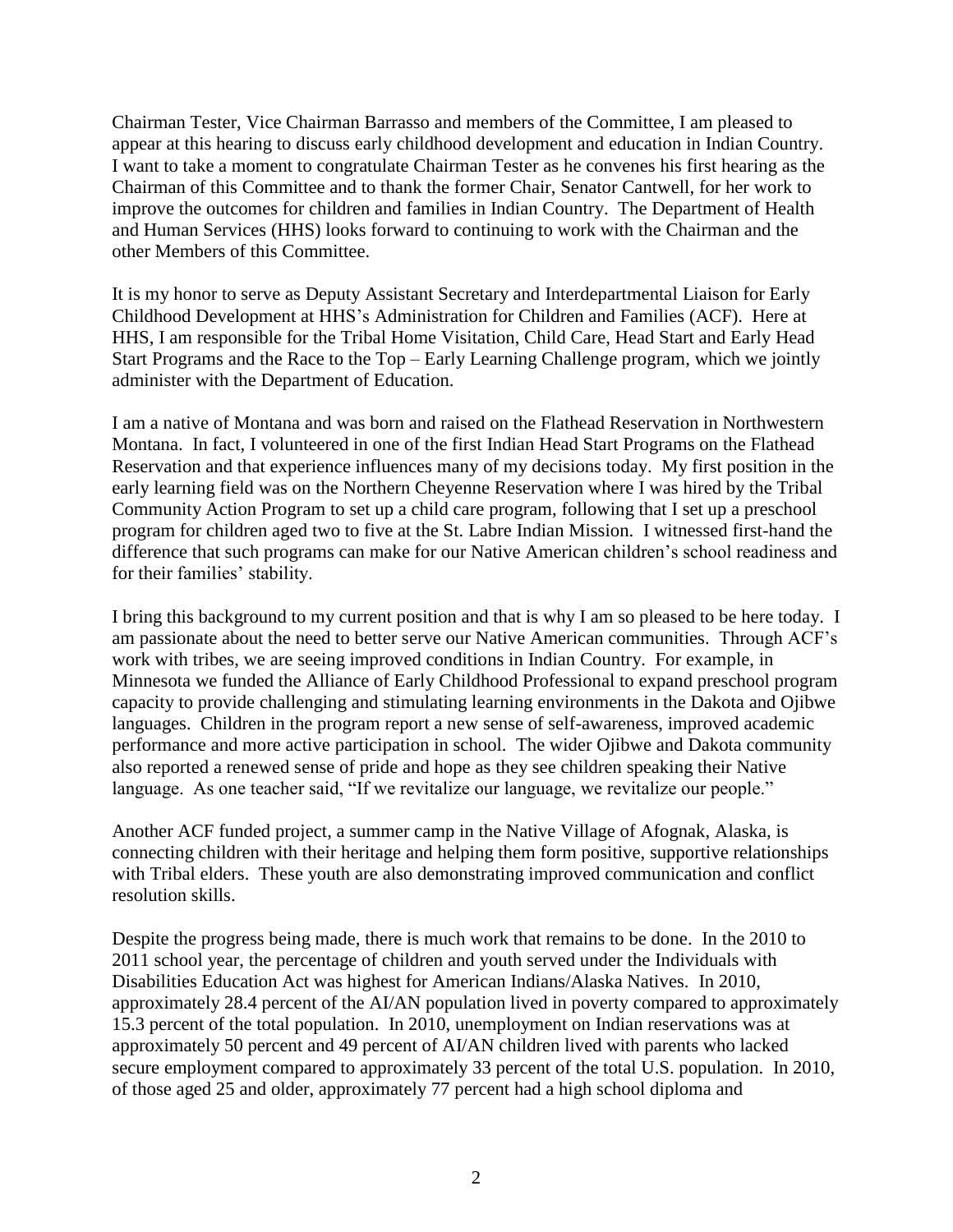Chairman Tester, Vice Chairman Barrasso and members of the Committee, I am pleased to appear at this hearing to discuss early childhood development and education in Indian Country. I want to take a moment to congratulate Chairman Tester as he convenes his first hearing as the Chairman of this Committee and to thank the former Chair, Senator Cantwell, for her work to improve the outcomes for children and families in Indian Country. The Department of Health and Human Services (HHS) looks forward to continuing to work with the Chairman and the other Members of this Committee.

It is my honor to serve as Deputy Assistant Secretary and Interdepartmental Liaison for Early Childhood Development at HHS's Administration for Children and Families (ACF). Here at HHS, I am responsible for the Tribal Home Visitation, Child Care, Head Start and Early Head Start Programs and the Race to the Top – Early Learning Challenge program, which we jointly administer with the Department of Education.

I am a native of Montana and was born and raised on the Flathead Reservation in Northwestern Montana. In fact, I volunteered in one of the first Indian Head Start Programs on the Flathead Reservation and that experience influences many of my decisions today. My first position in the early learning field was on the Northern Cheyenne Reservation where I was hired by the Tribal Community Action Program to set up a child care program, following that I set up a preschool program for children aged two to five at the St. Labre Indian Mission. I witnessed first-hand the difference that such programs can make for our Native American children's school readiness and for their families' stability.

I bring this background to my current position and that is why I am so pleased to be here today. I am passionate about the need to better serve our Native American communities. Through ACF's work with tribes, we are seeing improved conditions in Indian Country. For example, in Minnesota we funded the Alliance of Early Childhood Professional to expand preschool program capacity to provide challenging and stimulating learning environments in the Dakota and Ojibwe languages. Children in the program report a new sense of self-awareness, improved academic performance and more active participation in school. The wider Ojibwe and Dakota community also reported a renewed sense of pride and hope as they see children speaking their Native language. As one teacher said, "If we revitalize our language, we revitalize our people."

Another ACF funded project, a summer camp in the Native Village of Afognak, Alaska, is connecting children with their heritage and helping them form positive, supportive relationships with Tribal elders. These youth are also demonstrating improved communication and conflict resolution skills.

Despite the progress being made, there is much work that remains to be done. In the 2010 to 2011 school year, the percentage of children and youth served under the Individuals with Disabilities Education Act was highest for American Indians/Alaska Natives. In 2010, approximately 28.4 percent of the AI/AN population lived in poverty compared to approximately 15.3 percent of the total population. In 2010, unemployment on Indian reservations was at approximately 50 percent and 49 percent of AI/AN children lived with parents who lacked secure employment compared to approximately 33 percent of the total U.S. population. In 2010, of those aged 25 and older, approximately 77 percent had a high school diploma and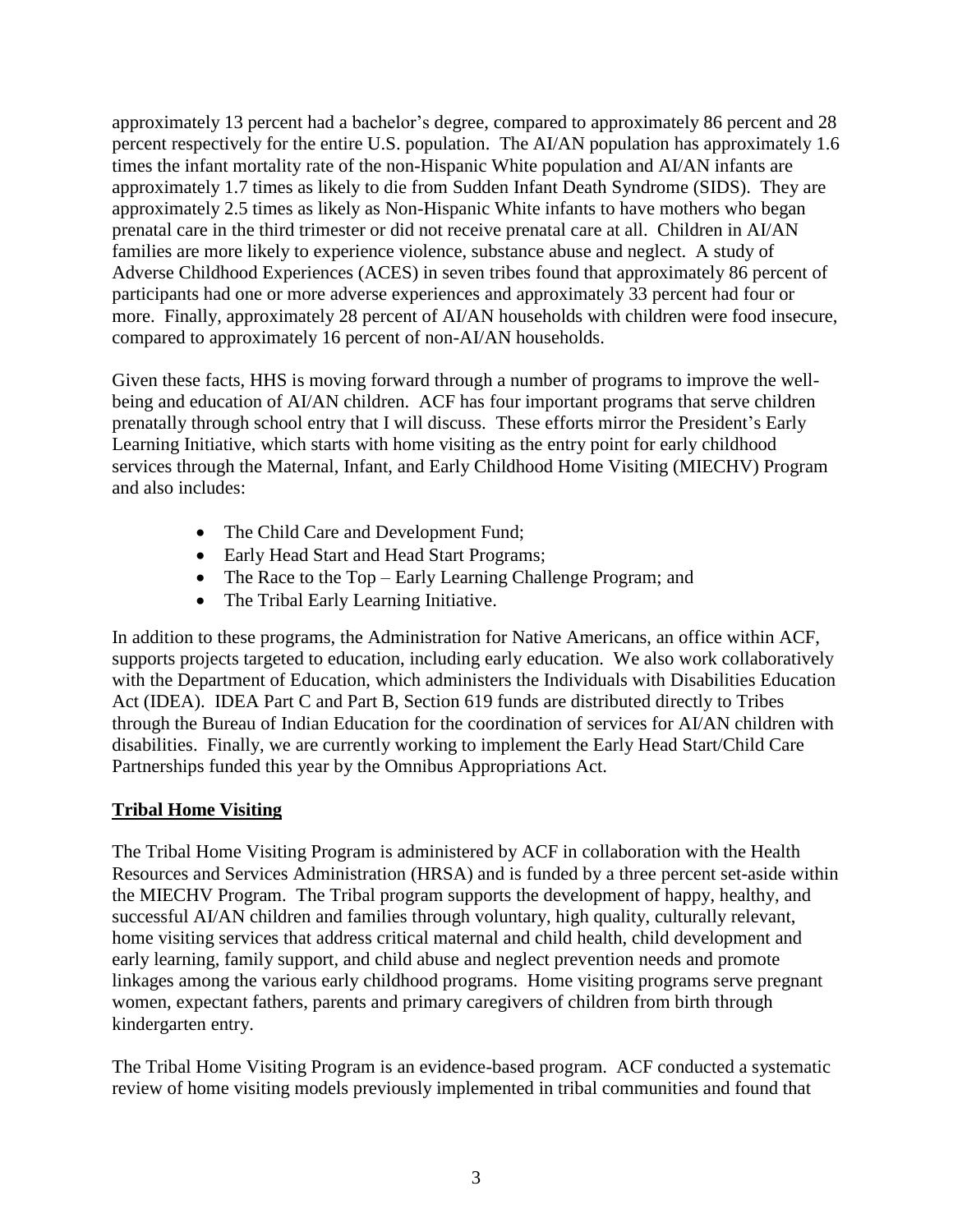approximately 13 percent had a bachelor's degree, compared to approximately 86 percent and 28 percent respectively for the entire U.S. population. The AI/AN population has approximately 1.6 times the infant mortality rate of the non-Hispanic White population and AI/AN infants are approximately 1.7 times as likely to die from Sudden Infant Death Syndrome (SIDS). They are approximately 2.5 times as likely as Non-Hispanic White infants to have mothers who began prenatal care in the third trimester or did not receive prenatal care at all. Children in AI/AN families are more likely to experience violence, substance abuse and neglect. A study of Adverse Childhood Experiences (ACES) in seven tribes found that approximately 86 percent of participants had one or more adverse experiences and approximately 33 percent had four or more. Finally, approximately 28 percent of AI/AN households with children were food insecure, compared to approximately 16 percent of non-AI/AN households.

Given these facts, HHS is moving forward through a number of programs to improve the wellbeing and education of AI/AN children. ACF has four important programs that serve children prenatally through school entry that I will discuss. These efforts mirror the President's Early Learning Initiative, which starts with home visiting as the entry point for early childhood services through the Maternal, Infant, and Early Childhood Home Visiting (MIECHV) Program and also includes:

- The Child Care and Development Fund;
- Early Head Start and Head Start Programs;
- The Race to the Top Early Learning Challenge Program; and
- The Tribal Early Learning Initiative.

In addition to these programs, the Administration for Native Americans, an office within ACF, supports projects targeted to education, including early education. We also work collaboratively with the Department of Education, which administers the Individuals with Disabilities Education Act (IDEA). IDEA Part C and Part B, Section 619 funds are distributed directly to Tribes through the Bureau of Indian Education for the coordination of services for AI/AN children with disabilities. Finally, we are currently working to implement the Early Head Start/Child Care Partnerships funded this year by the Omnibus Appropriations Act.

## **Tribal Home Visiting**

The Tribal Home Visiting Program is administered by ACF in collaboration with the Health Resources and Services Administration (HRSA) and is funded by a three percent set-aside within the MIECHV Program. The Tribal program supports the development of happy, healthy, and successful AI/AN children and families through voluntary, high quality, culturally relevant, home visiting services that address critical maternal and child health, child development and early learning, family support, and child abuse and neglect prevention needs and promote linkages among the various early childhood programs. Home visiting programs serve pregnant women, expectant fathers, parents and primary caregivers of children from birth through kindergarten entry.

The Tribal Home Visiting Program is an evidence-based program. ACF conducted a systematic review of home visiting models previously implemented in tribal communities and found that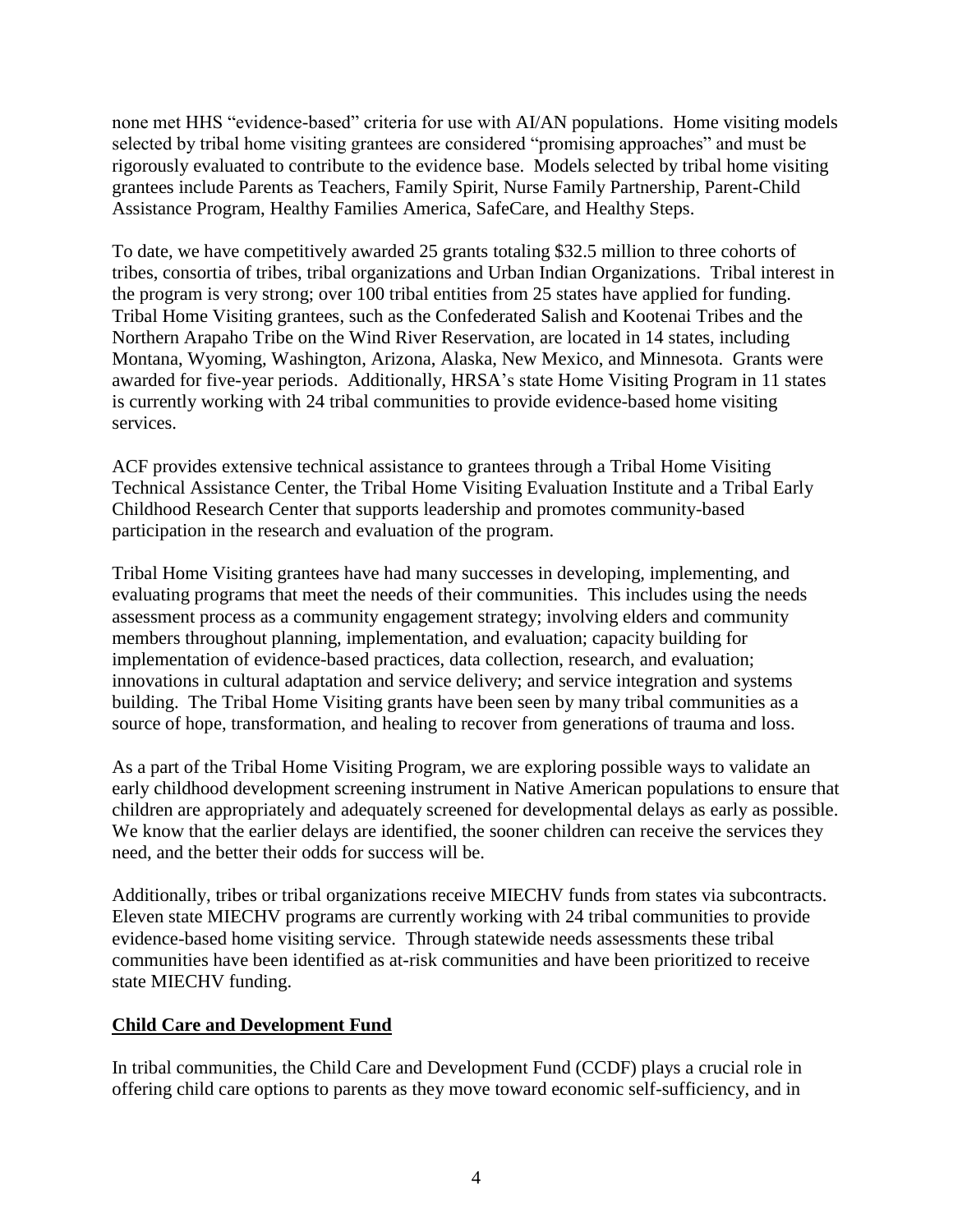none met HHS "evidence-based" criteria for use with AI/AN populations. Home visiting models selected by tribal home visiting grantees are considered "promising approaches" and must be rigorously evaluated to contribute to the evidence base. Models selected by tribal home visiting grantees include Parents as Teachers, Family Spirit, Nurse Family Partnership, Parent-Child Assistance Program, Healthy Families America, SafeCare, and Healthy Steps.

To date, we have competitively awarded 25 grants totaling \$32.5 million to three cohorts of tribes, consortia of tribes, tribal organizations and Urban Indian Organizations. Tribal interest in the program is very strong; over 100 tribal entities from 25 states have applied for funding. Tribal Home Visiting grantees, such as the Confederated Salish and Kootenai Tribes and the Northern Arapaho Tribe on the Wind River Reservation, are located in 14 states, including Montana, Wyoming, Washington, Arizona, Alaska, New Mexico, and Minnesota. Grants were awarded for five-year periods. Additionally, HRSA's state Home Visiting Program in 11 states is currently working with 24 tribal communities to provide evidence-based home visiting services.

ACF provides extensive technical assistance to grantees through a Tribal Home Visiting Technical Assistance Center, the Tribal Home Visiting Evaluation Institute and a Tribal Early Childhood Research Center that supports leadership and promotes community-based participation in the research and evaluation of the program.

Tribal Home Visiting grantees have had many successes in developing, implementing, and evaluating programs that meet the needs of their communities. This includes using the needs assessment process as a community engagement strategy; involving elders and community members throughout planning, implementation, and evaluation; capacity building for implementation of evidence-based practices, data collection, research, and evaluation; innovations in cultural adaptation and service delivery; and service integration and systems building. The Tribal Home Visiting grants have been seen by many tribal communities as a source of hope, transformation, and healing to recover from generations of trauma and loss.

As a part of the Tribal Home Visiting Program, we are exploring possible ways to validate an early childhood development screening instrument in Native American populations to ensure that children are appropriately and adequately screened for developmental delays as early as possible. We know that the earlier delays are identified, the sooner children can receive the services they need, and the better their odds for success will be.

Additionally, tribes or tribal organizations receive MIECHV funds from states via subcontracts. Eleven state MIECHV programs are currently working with 24 tribal communities to provide evidence-based home visiting service. Through statewide needs assessments these tribal communities have been identified as at-risk communities and have been prioritized to receive state MIECHV funding.

## **Child Care and Development Fund**

In tribal communities, the Child Care and Development Fund (CCDF) plays a crucial role in offering child care options to parents as they move toward economic self-sufficiency, and in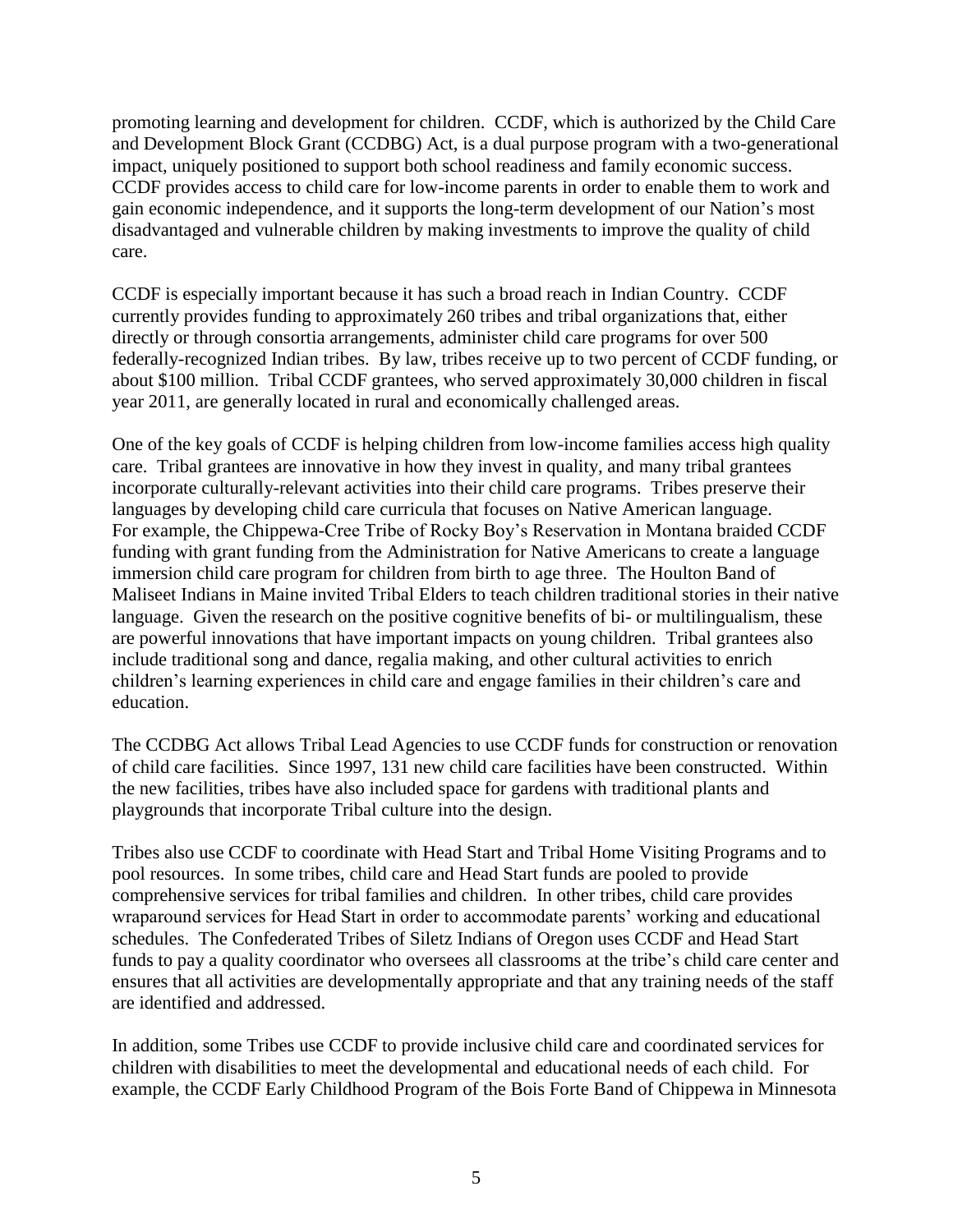promoting learning and development for children. CCDF, which is authorized by the Child Care and Development Block Grant (CCDBG) Act, is a dual purpose program with a two-generational impact, uniquely positioned to support both school readiness and family economic success. CCDF provides access to child care for low-income parents in order to enable them to work and gain economic independence, and it supports the long-term development of our Nation's most disadvantaged and vulnerable children by making investments to improve the quality of child care.

CCDF is especially important because it has such a broad reach in Indian Country. CCDF currently provides funding to approximately 260 tribes and tribal organizations that, either directly or through consortia arrangements, administer child care programs for over 500 federally-recognized Indian tribes. By law, tribes receive up to two percent of CCDF funding, or about \$100 million. Tribal CCDF grantees, who served approximately 30,000 children in fiscal year 2011, are generally located in rural and economically challenged areas.

One of the key goals of CCDF is helping children from low-income families access high quality care. Tribal grantees are innovative in how they invest in quality, and many tribal grantees incorporate culturally-relevant activities into their child care programs. Tribes preserve their languages by developing child care curricula that focuses on Native American language. For example, the Chippewa-Cree Tribe of Rocky Boy's Reservation in Montana braided CCDF funding with grant funding from the Administration for Native Americans to create a language immersion child care program for children from birth to age three. The Houlton Band of Maliseet Indians in Maine invited Tribal Elders to teach children traditional stories in their native language. Given the research on the positive cognitive benefits of bi- or multilingualism, these are powerful innovations that have important impacts on young children. Tribal grantees also include traditional song and dance, regalia making, and other cultural activities to enrich children's learning experiences in child care and engage families in their children's care and education.

The CCDBG Act allows Tribal Lead Agencies to use CCDF funds for construction or renovation of child care facilities. Since 1997, 131 new child care facilities have been constructed. Within the new facilities, tribes have also included space for gardens with traditional plants and playgrounds that incorporate Tribal culture into the design.

Tribes also use CCDF to coordinate with Head Start and Tribal Home Visiting Programs and to pool resources. In some tribes, child care and Head Start funds are pooled to provide comprehensive services for tribal families and children. In other tribes, child care provides wraparound services for Head Start in order to accommodate parents' working and educational schedules. The Confederated Tribes of Siletz Indians of Oregon uses CCDF and Head Start funds to pay a quality coordinator who oversees all classrooms at the tribe's child care center and ensures that all activities are developmentally appropriate and that any training needs of the staff are identified and addressed.

In addition, some Tribes use CCDF to provide inclusive child care and coordinated services for children with disabilities to meet the developmental and educational needs of each child. For example, the CCDF Early Childhood Program of the Bois Forte Band of Chippewa in Minnesota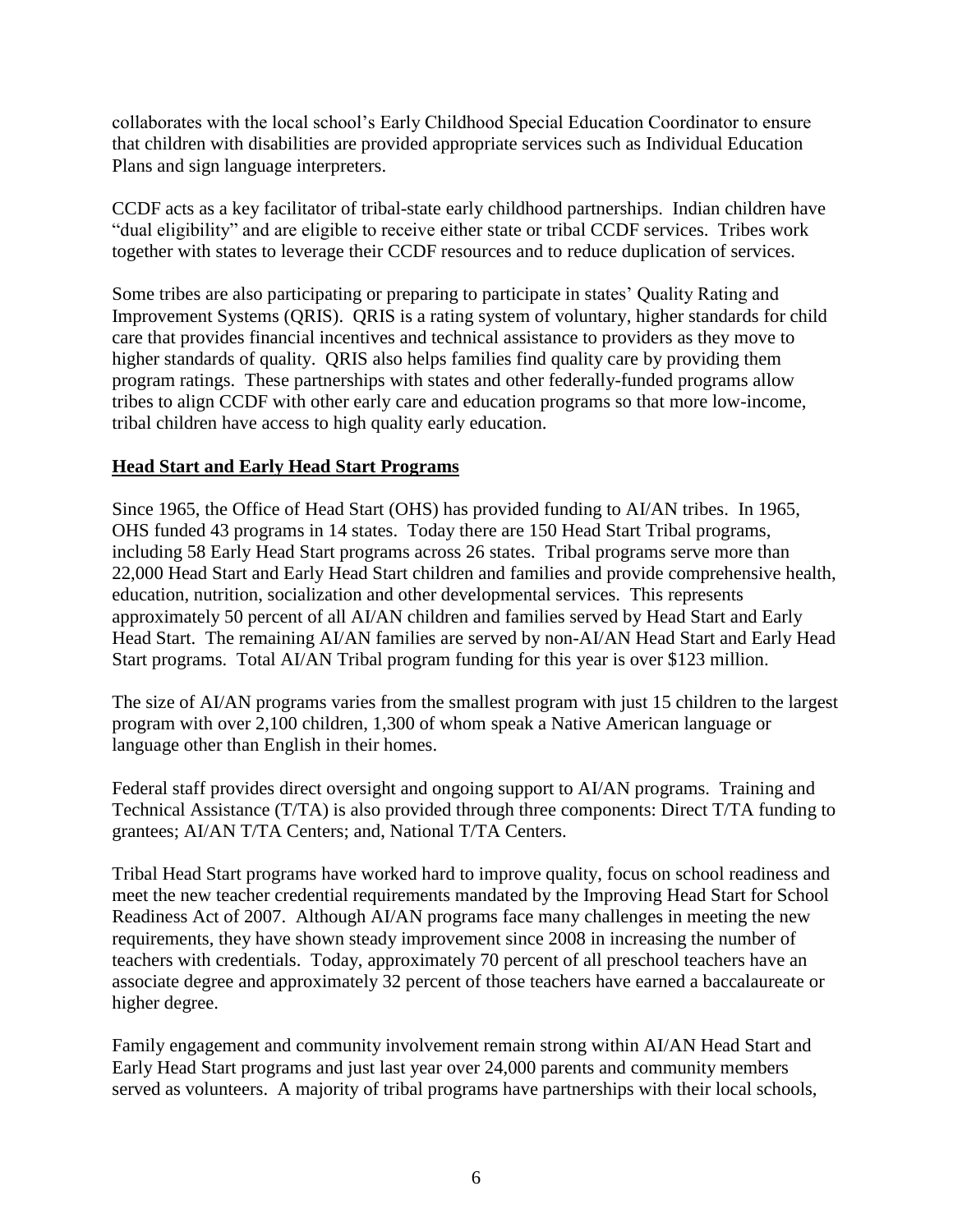collaborates with the local school's Early Childhood Special Education Coordinator to ensure that children with disabilities are provided appropriate services such as Individual Education Plans and sign language interpreters.

CCDF acts as a key facilitator of tribal-state early childhood partnerships. Indian children have "dual eligibility" and are eligible to receive either state or tribal CCDF services. Tribes work together with states to leverage their CCDF resources and to reduce duplication of services.

Some tribes are also participating or preparing to participate in states' Quality Rating and Improvement Systems (QRIS). QRIS is a rating system of voluntary, higher standards for child care that provides financial incentives and technical assistance to providers as they move to higher standards of quality. QRIS also helps families find quality care by providing them program ratings. These partnerships with states and other federally-funded programs allow tribes to align CCDF with other early care and education programs so that more low-income, tribal children have access to high quality early education.

## **Head Start and Early Head Start Programs**

Since 1965, the Office of Head Start (OHS) has provided funding to AI/AN tribes. In 1965, OHS funded 43 programs in 14 states. Today there are 150 Head Start Tribal programs, including 58 Early Head Start programs across 26 states. Tribal programs serve more than 22,000 Head Start and Early Head Start children and families and provide comprehensive health, education, nutrition, socialization and other developmental services. This represents approximately 50 percent of all AI/AN children and families served by Head Start and Early Head Start. The remaining AI/AN families are served by non-AI/AN Head Start and Early Head Start programs. Total AI/AN Tribal program funding for this year is over \$123 million.

The size of AI/AN programs varies from the smallest program with just 15 children to the largest program with over 2,100 children, 1,300 of whom speak a Native American language or language other than English in their homes.

Federal staff provides direct oversight and ongoing support to AI/AN programs. Training and Technical Assistance (T/TA) is also provided through three components: Direct T/TA funding to grantees; AI/AN T/TA Centers; and, National T/TA Centers.

Tribal Head Start programs have worked hard to improve quality, focus on school readiness and meet the new teacher credential requirements mandated by the Improving Head Start for School Readiness Act of 2007. Although AI/AN programs face many challenges in meeting the new requirements, they have shown steady improvement since 2008 in increasing the number of teachers with credentials. Today, approximately 70 percent of all preschool teachers have an associate degree and approximately 32 percent of those teachers have earned a baccalaureate or higher degree.

Family engagement and community involvement remain strong within AI/AN Head Start and Early Head Start programs and just last year over 24,000 parents and community members served as volunteers. A majority of tribal programs have partnerships with their local schools,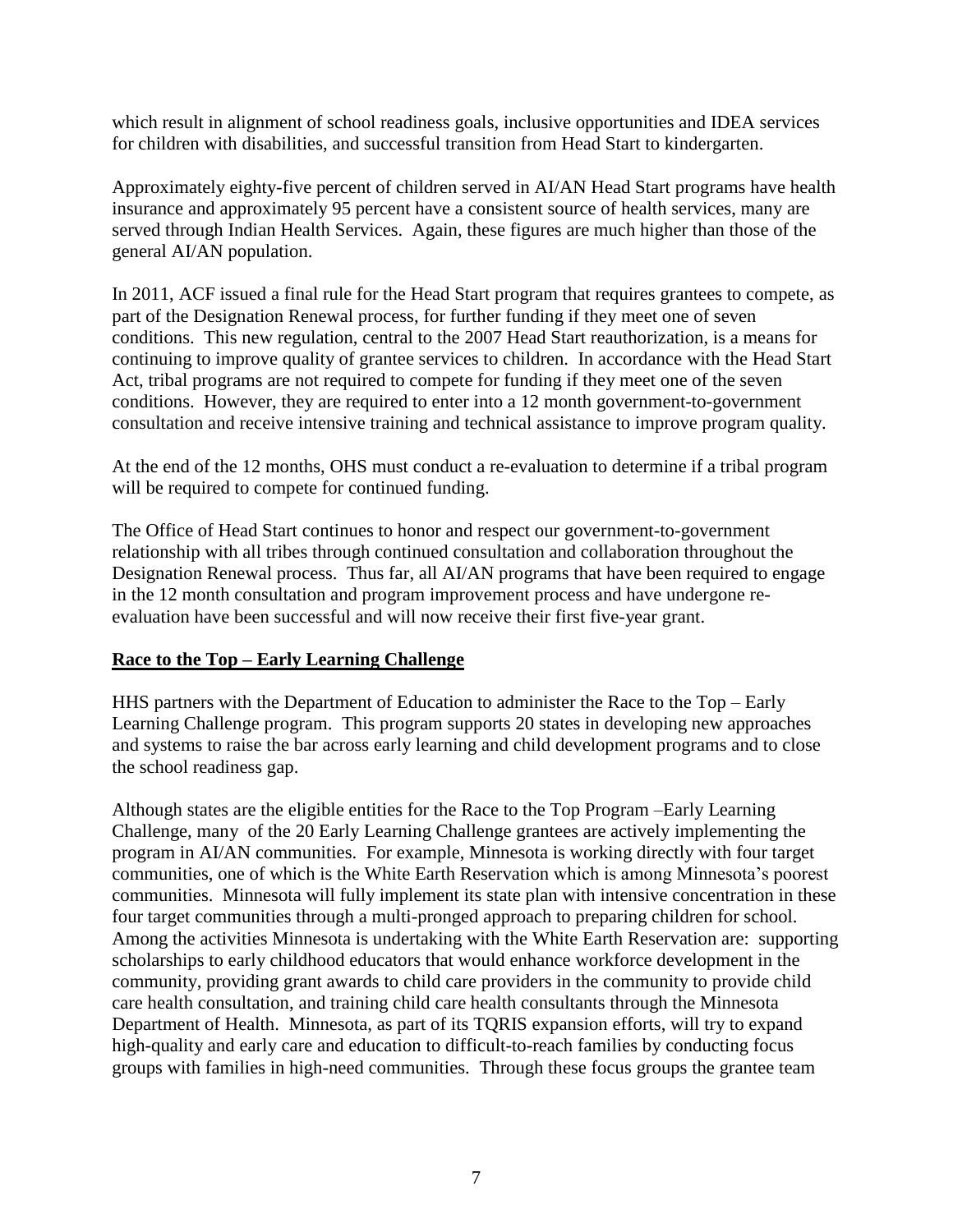which result in alignment of school readiness goals, inclusive opportunities and IDEA services for children with disabilities, and successful transition from Head Start to kindergarten.

Approximately eighty-five percent of children served in AI/AN Head Start programs have health insurance and approximately 95 percent have a consistent source of health services, many are served through Indian Health Services. Again, these figures are much higher than those of the general AI/AN population.

In 2011, ACF issued a final rule for the Head Start program that requires grantees to compete, as part of the Designation Renewal process, for further funding if they meet one of seven conditions. This new regulation, central to the 2007 Head Start reauthorization, is a means for continuing to improve quality of grantee services to children. In accordance with the Head Start Act, tribal programs are not required to compete for funding if they meet one of the seven conditions. However, they are required to enter into a 12 month government-to-government consultation and receive intensive training and technical assistance to improve program quality.

At the end of the 12 months, OHS must conduct a re-evaluation to determine if a tribal program will be required to compete for continued funding.

The Office of Head Start continues to honor and respect our government-to-government relationship with all tribes through continued consultation and collaboration throughout the Designation Renewal process. Thus far, all AI/AN programs that have been required to engage in the 12 month consultation and program improvement process and have undergone reevaluation have been successful and will now receive their first five-year grant.

## **Race to the Top – Early Learning Challenge**

HHS partners with the Department of Education to administer the Race to the Top – Early Learning Challenge program. This program supports 20 states in developing new approaches and systems to raise the bar across early learning and child development programs and to close the school readiness gap.

Although states are the eligible entities for the Race to the Top Program –Early Learning Challenge, many of the 20 Early Learning Challenge grantees are actively implementing the program in AI/AN communities. For example, Minnesota is working directly with four target communities, one of which is the White Earth Reservation which is among Minnesota's poorest communities. Minnesota will fully implement its state plan with intensive concentration in these four target communities through a multi-pronged approach to preparing children for school. Among the activities Minnesota is undertaking with the White Earth Reservation are: supporting scholarships to early childhood educators that would enhance workforce development in the community, providing grant awards to child care providers in the community to provide child care health consultation, and training child care health consultants through the Minnesota Department of Health. Minnesota, as part of its TQRIS expansion efforts, will try to expand high-quality and early care and education to difficult-to-reach families by conducting focus groups with families in high-need communities. Through these focus groups the grantee team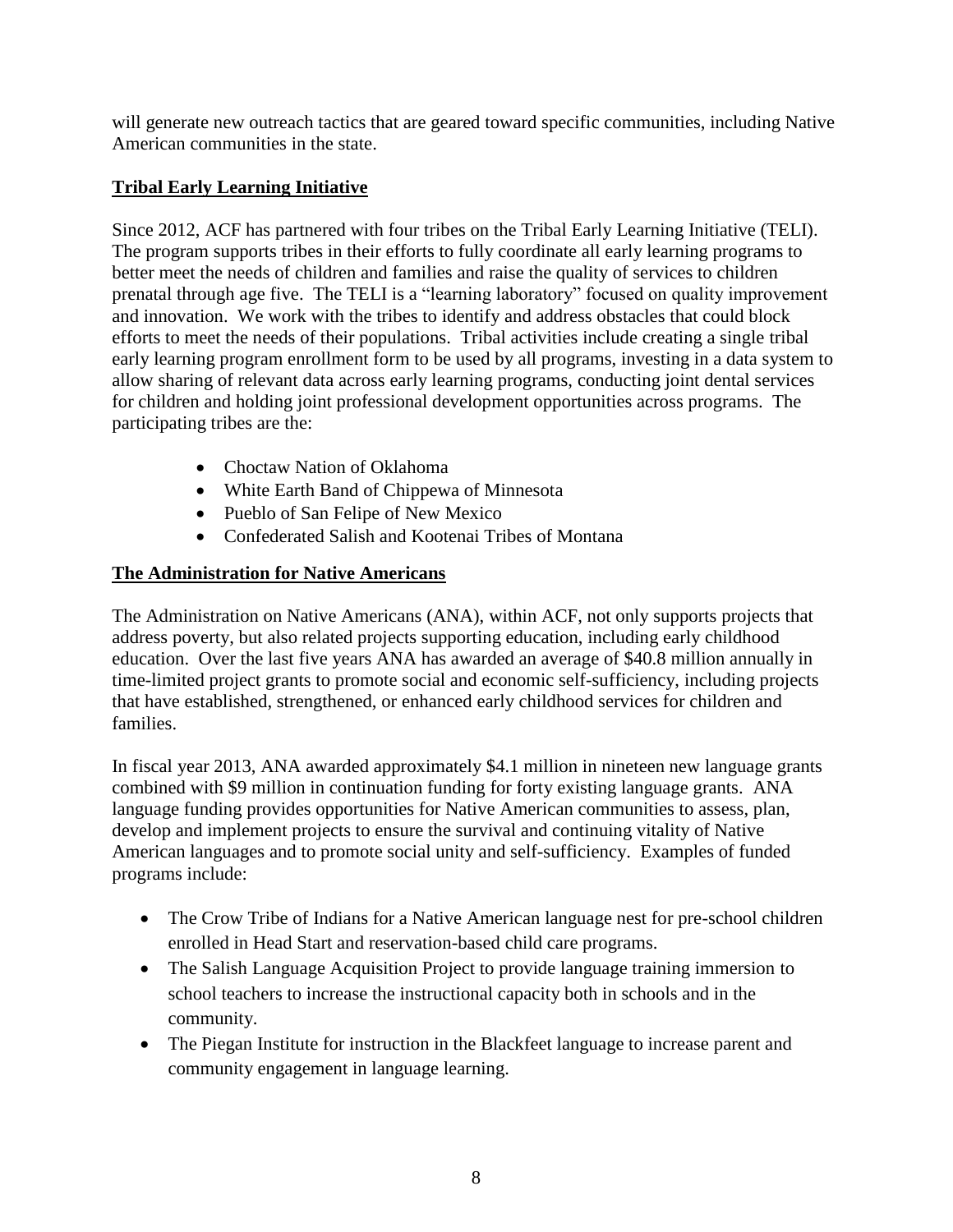will generate new outreach tactics that are geared toward specific communities, including Native American communities in the state.

# **Tribal Early Learning Initiative**

Since 2012, ACF has partnered with four tribes on the Tribal Early Learning Initiative (TELI). The program supports tribes in their efforts to fully coordinate all early learning programs to better meet the needs of children and families and raise the quality of services to children prenatal through age five. The TELI is a "learning laboratory" focused on quality improvement and innovation. We work with the tribes to identify and address obstacles that could block efforts to meet the needs of their populations. Tribal activities include creating a single tribal early learning program enrollment form to be used by all programs, investing in a data system to allow sharing of relevant data across early learning programs, conducting joint dental services for children and holding joint professional development opportunities across programs. The participating tribes are the:

- Choctaw Nation of Oklahoma
- White Earth Band of Chippewa of Minnesota
- Pueblo of San Felipe of New Mexico
- Confederated Salish and Kootenai Tribes of Montana

# **The Administration for Native Americans**

The Administration on Native Americans (ANA), within ACF, not only supports projects that address poverty, but also related projects supporting education, including early childhood education. Over the last five years ANA has awarded an average of \$40.8 million annually in time-limited project grants to promote social and economic self-sufficiency, including projects that have established, strengthened, or enhanced early childhood services for children and families.

In fiscal year 2013, ANA awarded approximately \$4.1 million in nineteen new language grants combined with \$9 million in continuation funding for forty existing language grants. ANA language funding provides opportunities for Native American communities to assess, plan, develop and implement projects to ensure the survival and continuing vitality of Native American languages and to promote social unity and self-sufficiency. Examples of funded programs include:

- The Crow Tribe of Indians for a Native American language nest for pre-school children enrolled in Head Start and reservation-based child care programs.
- The Salish Language Acquisition Project to provide language training immersion to school teachers to increase the instructional capacity both in schools and in the community.
- The Piegan Institute for instruction in the Blackfeet language to increase parent and community engagement in language learning.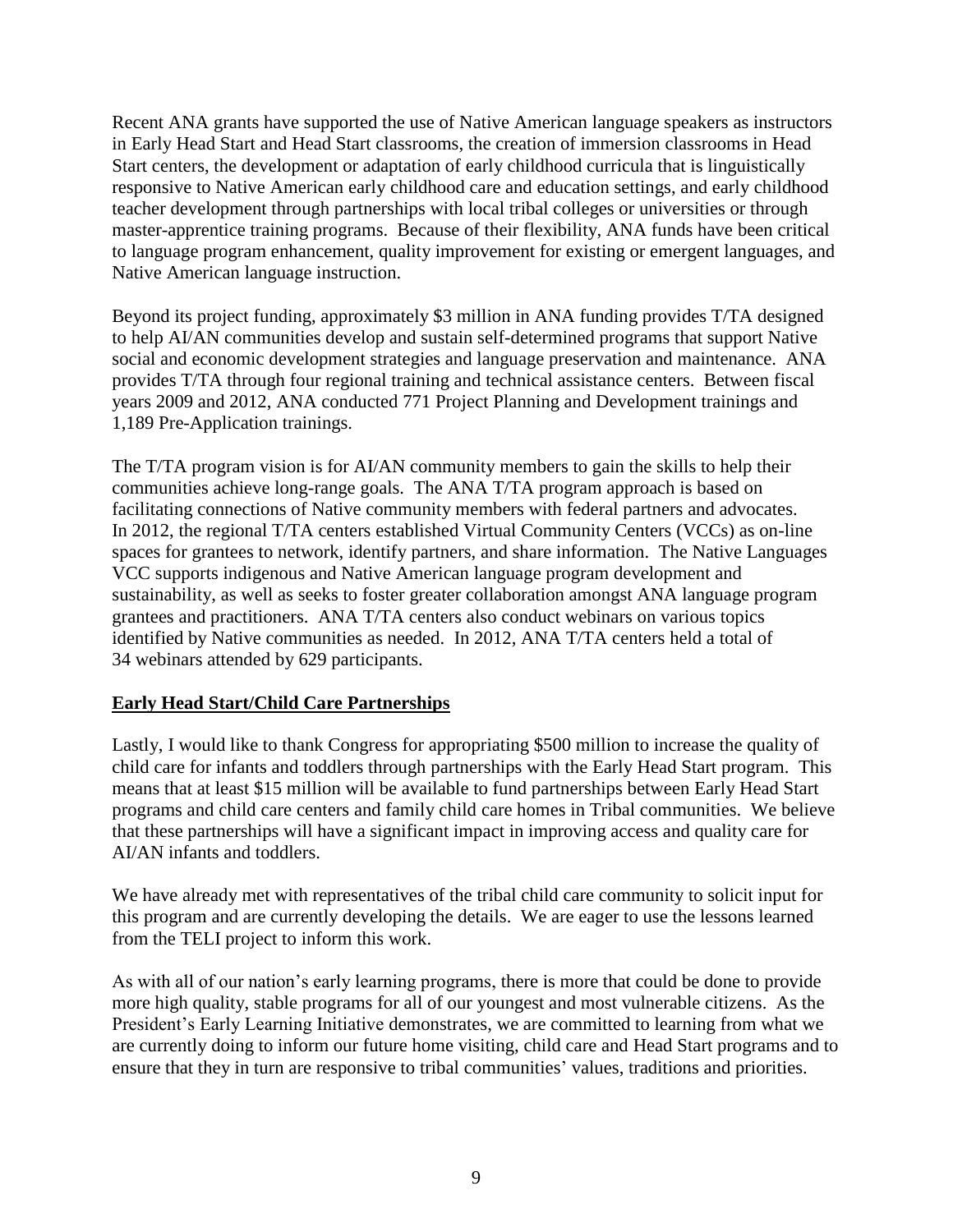Recent ANA grants have supported the use of Native American language speakers as instructors in Early Head Start and Head Start classrooms, the creation of immersion classrooms in Head Start centers, the development or adaptation of early childhood curricula that is linguistically responsive to Native American early childhood care and education settings, and early childhood teacher development through partnerships with local tribal colleges or universities or through master-apprentice training programs. Because of their flexibility, ANA funds have been critical to language program enhancement, quality improvement for existing or emergent languages, and Native American language instruction.

Beyond its project funding, approximately \$3 million in ANA funding provides T/TA designed to help AI/AN communities develop and sustain self-determined programs that support Native social and economic development strategies and language preservation and maintenance. ANA provides T/TA through four regional training and technical assistance centers. Between fiscal years 2009 and 2012, ANA conducted 771 Project Planning and Development trainings and 1,189 Pre-Application trainings.

The T/TA program vision is for AI/AN community members to gain the skills to help their communities achieve long-range goals. The ANA T/TA program approach is based on facilitating connections of Native community members with federal partners and advocates. In 2012, the regional T/TA centers established Virtual Community Centers (VCCs) as on-line spaces for grantees to network, identify partners, and share information. The Native Languages VCC supports indigenous and Native American language program development and sustainability, as well as seeks to foster greater collaboration amongst ANA language program grantees and practitioners. ANA T/TA centers also conduct webinars on various topics identified by Native communities as needed. In 2012, ANA T/TA centers held a total of 34 webinars attended by 629 participants.

## **Early Head Start/Child Care Partnerships**

Lastly, I would like to thank Congress for appropriating \$500 million to increase the quality of child care for infants and toddlers through partnerships with the Early Head Start program. This means that at least \$15 million will be available to fund partnerships between Early Head Start programs and child care centers and family child care homes in Tribal communities. We believe that these partnerships will have a significant impact in improving access and quality care for AI/AN infants and toddlers.

We have already met with representatives of the tribal child care community to solicit input for this program and are currently developing the details. We are eager to use the lessons learned from the TELI project to inform this work.

As with all of our nation's early learning programs, there is more that could be done to provide more high quality, stable programs for all of our youngest and most vulnerable citizens. As the President's Early Learning Initiative demonstrates, we are committed to learning from what we are currently doing to inform our future home visiting, child care and Head Start programs and to ensure that they in turn are responsive to tribal communities' values, traditions and priorities.